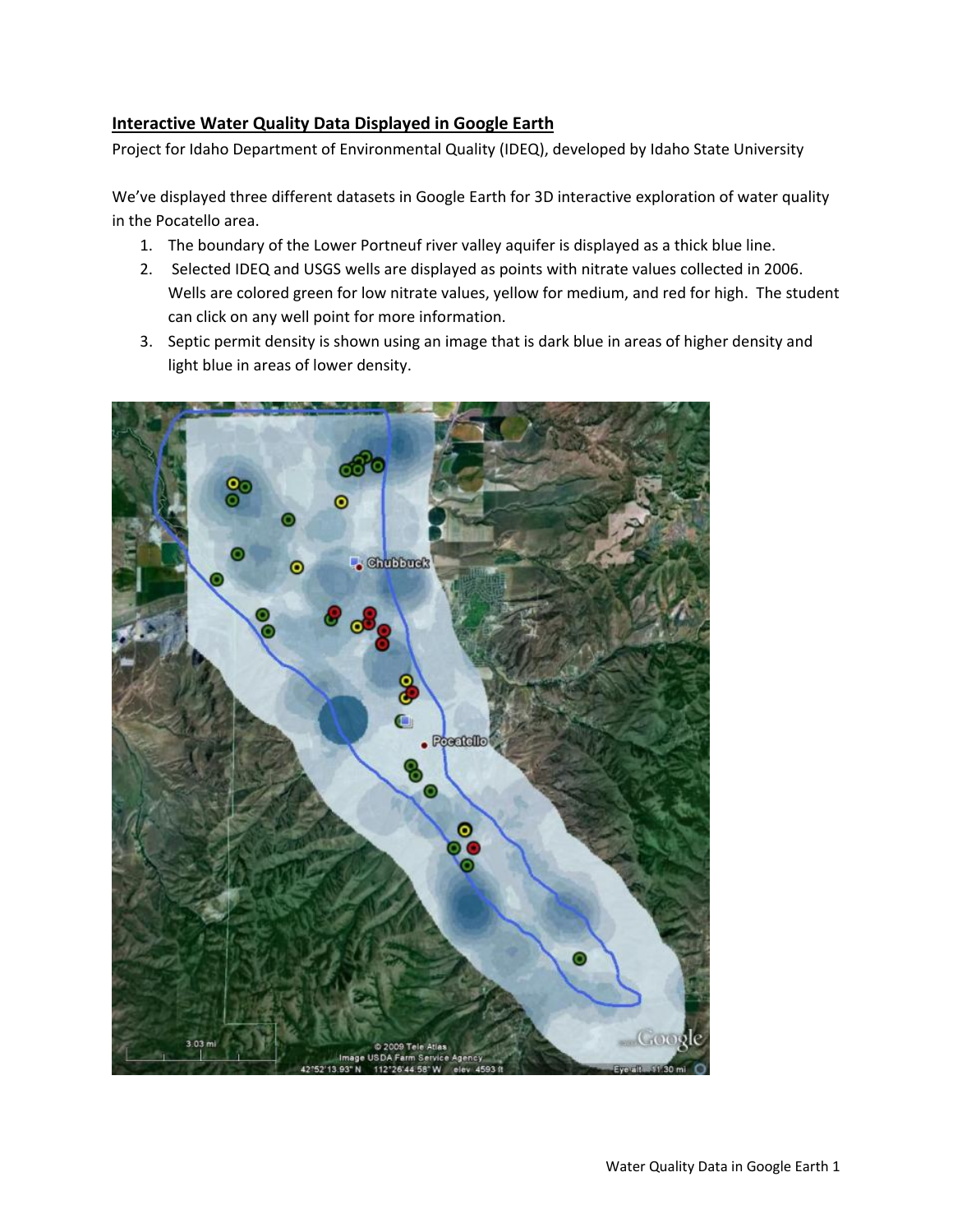## **Interactive Water Quality Data Displayed in Google Earth**

Project for Idaho Department of Environmental Quality (IDEQ), developed by Idaho State University

We've displayed three different datasets in Google Earth for 3D interactive exploration of water quality in the Pocatello area.

- 1. The boundary of the Lower Portneuf river valley aquifer is displayed as a thick blue line.
- 2. Selected IDEQ and USGS wells are displayed as points with nitrate values collected in 2006. Wells are colored green for low nitrate values, yellow for medium, and red for high. The student can click on any well point for more information.
- 3. Septic permit density is shown using an image that is dark blue in areas of higher density and light blue in areas of lower density.

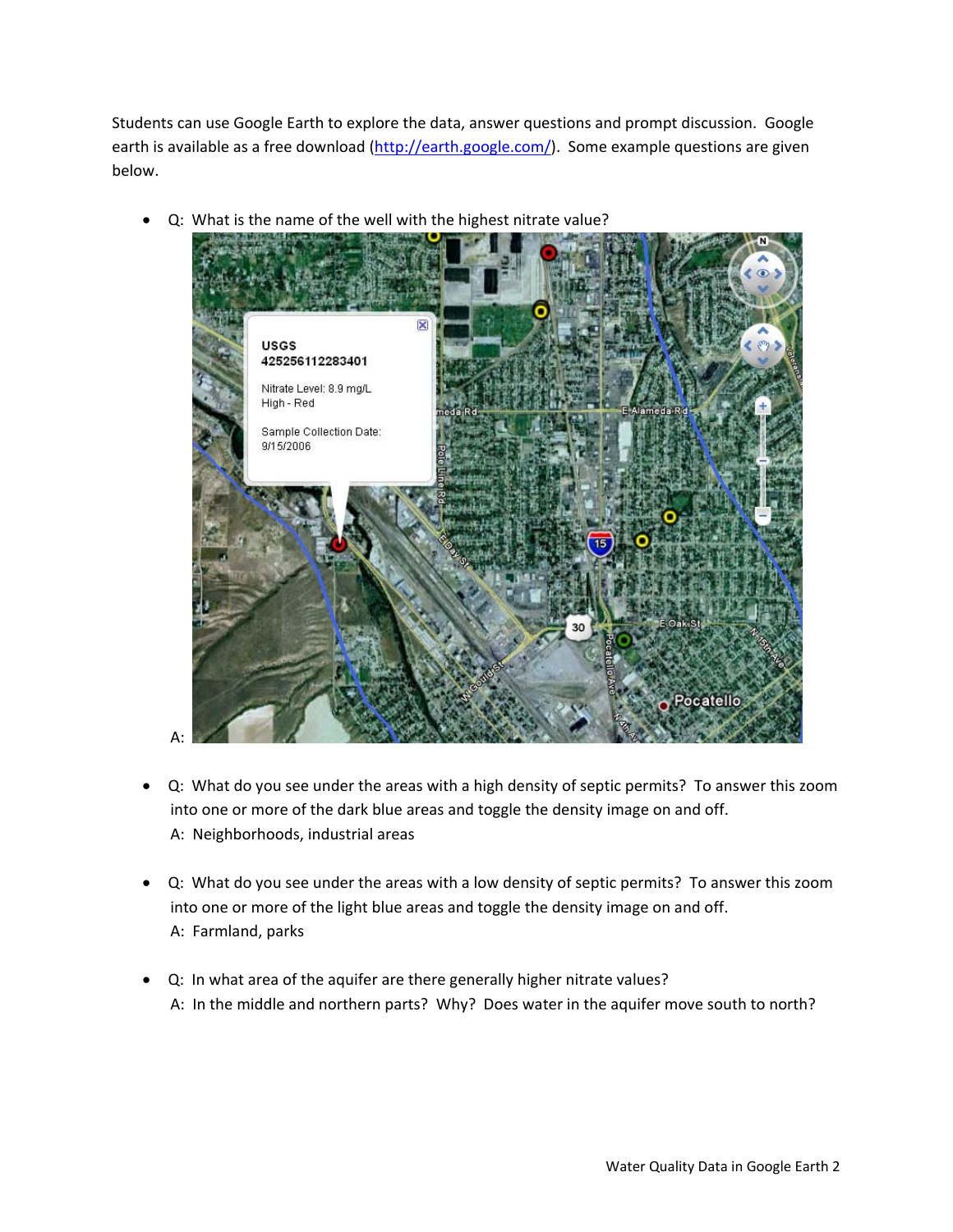Students can use Google Earth to explore the data, answer questions and prompt discussion. Google earth is available as a free download (http://earth.google.com/). Some example questions are given below.



• Q: What is the name of the well with the highest nitrate value?

- Q: What do you see under the areas with a high density of septic permits? To answer this zoom into one or more of the dark blue areas and toggle the density image on and off. A: Neighborhoods, industrial areas
- Q: What do you see under the areas with a low density of septic permits? To answer this zoom into one or more of the light blue areas and toggle the density image on and off. A: Farmland, parks
- Q: In what area of the aquifer are there generally higher nitrate values? A: In the middle and northern parts? Why? Does water in the aquifer move south to north?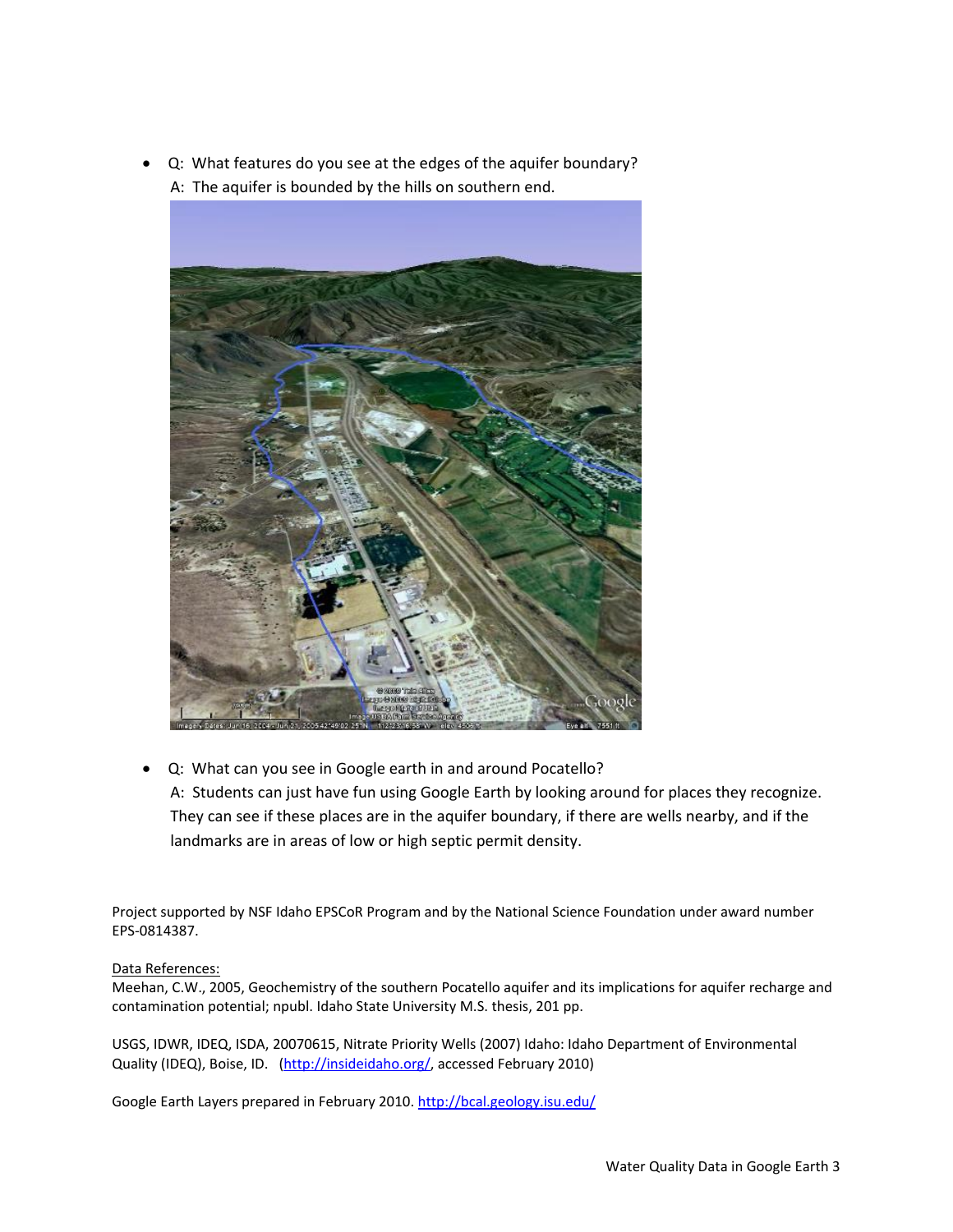• Q: What features do you see at the edges of the aquifer boundary? A: The aquifer is bounded by the hills on southern end.



• Q: What can you see in Google earth in and around Pocatello? A: Students can just have fun using Google Earth by looking around for places they recognize. They can see if these places are in the aquifer boundary, if there are wells nearby, and if the landmarks are in areas of low or high septic permit density.

Project supported by NSF Idaho EPSCoR Program and by the National Science Foundation under award number EPS‐0814387.

## Data References:

Meehan, C.W., 2005, Geochemistry of the southern Pocatello aquifer and its implications for aquifer recharge and contamination potential; npubl. Idaho State University M.S. thesis, 201 pp.

USGS, IDWR, IDEQ, ISDA, 20070615, Nitrate Priority Wells (2007) Idaho: Idaho Department of Environmental Quality (IDEQ), Boise, ID. (http://insideidaho.org/, accessed February 2010)

Google Earth Layers prepared in February 2010. http://bcal.geology.isu.edu/